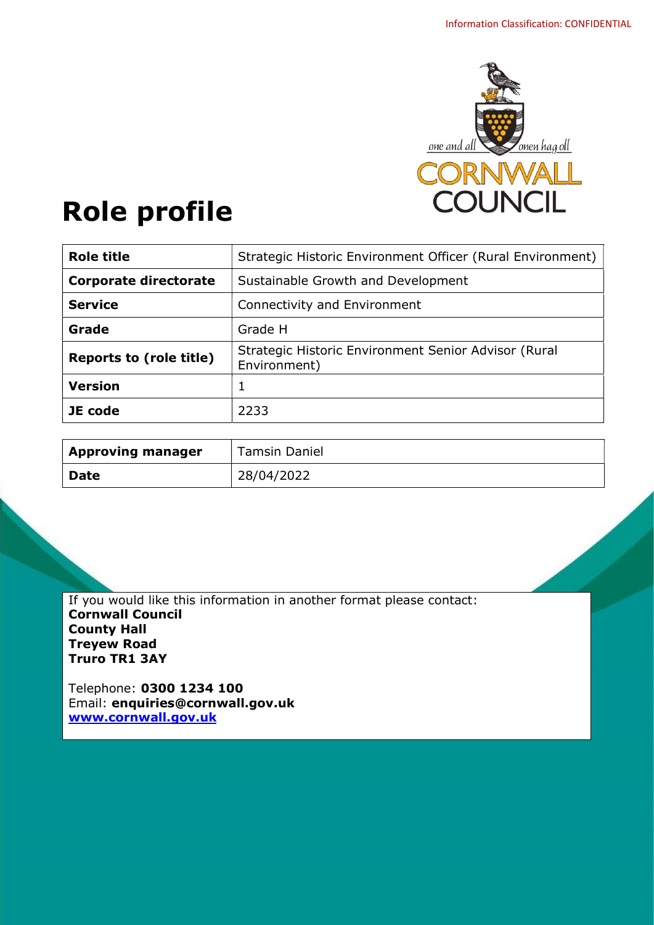

# Role profile

| <b>Role title</b>              | Strategic Historic Environment Officer (Rural Environment)           |
|--------------------------------|----------------------------------------------------------------------|
| <b>Corporate directorate</b>   | Sustainable Growth and Development                                   |
| <b>Service</b>                 | Connectivity and Environment                                         |
| Grade                          | Grade H                                                              |
| <b>Reports to (role title)</b> | Strategic Historic Environment Senior Advisor (Rural<br>Environment) |
| <b>Version</b>                 | 1                                                                    |
| JE code                        | 2233                                                                 |

| <b>Approving manager</b> | <b>Tamsin Daniel</b> |
|--------------------------|----------------------|
| <b>Date</b>              | 28/04/2022           |

If you would like this information in another format please contact: Cornwall Council County Hall Treyew Road Truro TR1 3AY

Telephone: 0300 1234 100 Email: enquiries@cornwall.gov.uk www.cornwall.gov.uk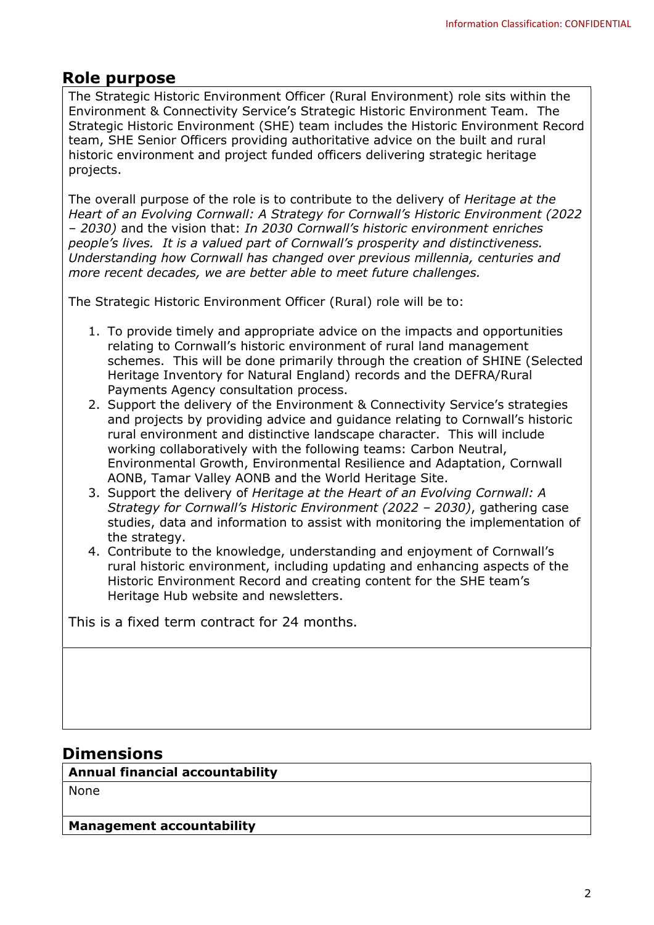# Role purpose

The Strategic Historic Environment Officer (Rural Environment) role sits within the Environment & Connectivity Service's Strategic Historic Environment Team. The Strategic Historic Environment (SHE) team includes the Historic Environment Record team, SHE Senior Officers providing authoritative advice on the built and rural historic environment and project funded officers delivering strategic heritage projects.

The overall purpose of the role is to contribute to the delivery of Heritage at the Heart of an Evolving Cornwall: A Strategy for Cornwall's Historic Environment (2022 – 2030) and the vision that: In 2030 Cornwall's historic environment enriches people's lives. It is a valued part of Cornwall's prosperity and distinctiveness. Understanding how Cornwall has changed over previous millennia, centuries and more recent decades, we are better able to meet future challenges.

The Strategic Historic Environment Officer (Rural) role will be to:

- 1. To provide timely and appropriate advice on the impacts and opportunities relating to Cornwall's historic environment of rural land management schemes. This will be done primarily through the creation of SHINE (Selected Heritage Inventory for Natural England) records and the DEFRA/Rural Payments Agency consultation process.
- 2. Support the delivery of the Environment & Connectivity Service's strategies and projects by providing advice and guidance relating to Cornwall's historic rural environment and distinctive landscape character. This will include working collaboratively with the following teams: Carbon Neutral, Environmental Growth, Environmental Resilience and Adaptation, Cornwall AONB, Tamar Valley AONB and the World Heritage Site.
- 3. Support the delivery of Heritage at the Heart of an Evolving Cornwall: A Strategy for Cornwall's Historic Environment (2022 – 2030), gathering case studies, data and information to assist with monitoring the implementation of the strategy.
- 4. Contribute to the knowledge, understanding and enjoyment of Cornwall's rural historic environment, including updating and enhancing aspects of the Historic Environment Record and creating content for the SHE team's Heritage Hub website and newsletters.

This is a fixed term contract for 24 months.

## **Dimensions**

Annual financial accountability

None

Management accountability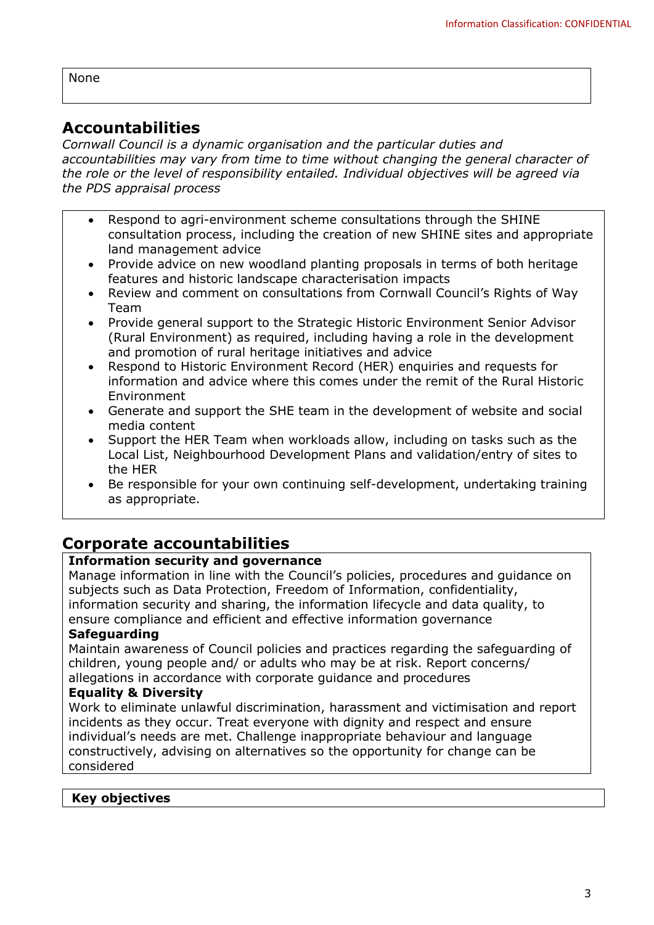None

# Accountabilities

Cornwall Council is a dynamic organisation and the particular duties and accountabilities may vary from time to time without changing the general character of the role or the level of responsibility entailed. Individual objectives will be agreed via the PDS appraisal process

- Respond to agri-environment scheme consultations through the SHINE consultation process, including the creation of new SHINE sites and appropriate land management advice
- Provide advice on new woodland planting proposals in terms of both heritage features and historic landscape characterisation impacts
- Review and comment on consultations from Cornwall Council's Rights of Way Team
- Provide general support to the Strategic Historic Environment Senior Advisor (Rural Environment) as required, including having a role in the development and promotion of rural heritage initiatives and advice
- Respond to Historic Environment Record (HER) enquiries and requests for information and advice where this comes under the remit of the Rural Historic Environment
- Generate and support the SHE team in the development of website and social media content
- Support the HER Team when workloads allow, including on tasks such as the Local List, Neighbourhood Development Plans and validation/entry of sites to the HER
- Be responsible for your own continuing self-development, undertaking training as appropriate.

# Corporate accountabilities

## Information security and governance

Manage information in line with the Council's policies, procedures and guidance on subjects such as Data Protection, Freedom of Information, confidentiality, information security and sharing, the information lifecycle and data quality, to ensure compliance and efficient and effective information governance

### **Safeguarding**

Maintain awareness of Council policies and practices regarding the safeguarding of children, young people and/ or adults who may be at risk. Report concerns/ allegations in accordance with corporate guidance and procedures

### Equality & Diversity

Work to eliminate unlawful discrimination, harassment and victimisation and report incidents as they occur. Treat everyone with dignity and respect and ensure individual's needs are met. Challenge inappropriate behaviour and language constructively, advising on alternatives so the opportunity for change can be considered

### Key objectives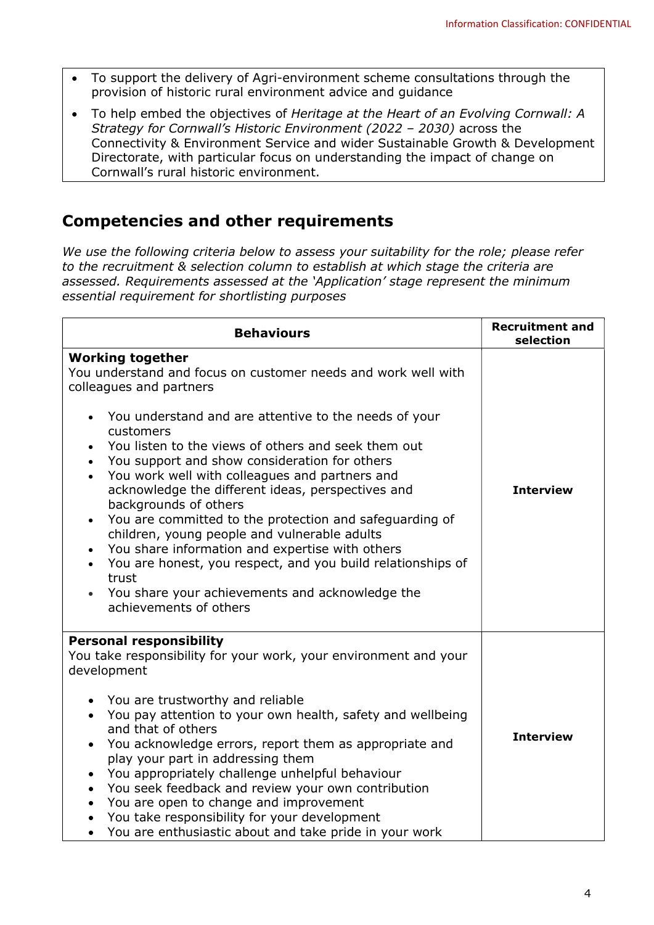- To support the delivery of Agri-environment scheme consultations through the provision of historic rural environment advice and guidance
- To help embed the objectives of Heritage at the Heart of an Evolving Cornwall: A Strategy for Cornwall's Historic Environment (2022 – 2030) across the Connectivity & Environment Service and wider Sustainable Growth & Development Directorate, with particular focus on understanding the impact of change on Cornwall's rural historic environment.

## Competencies and other requirements

We use the following criteria below to assess your suitability for the role; please refer to the recruitment & selection column to establish at which stage the criteria are assessed. Requirements assessed at the 'Application' stage represent the minimum essential requirement for shortlisting purposes

| <b>Behaviours</b>                                                                                                                                                                                                                                                                                                                                                                                                                                                                                                                                                                                                                                                                                                                                                                           | <b>Recruitment and</b><br>selection |
|---------------------------------------------------------------------------------------------------------------------------------------------------------------------------------------------------------------------------------------------------------------------------------------------------------------------------------------------------------------------------------------------------------------------------------------------------------------------------------------------------------------------------------------------------------------------------------------------------------------------------------------------------------------------------------------------------------------------------------------------------------------------------------------------|-------------------------------------|
| <b>Working together</b><br>You understand and focus on customer needs and work well with<br>colleagues and partners<br>You understand and are attentive to the needs of your<br>customers<br>You listen to the views of others and seek them out<br>You support and show consideration for others<br>$\bullet$<br>You work well with colleagues and partners and<br>acknowledge the different ideas, perspectives and<br>backgrounds of others<br>You are committed to the protection and safeguarding of<br>$\bullet$<br>children, young people and vulnerable adults<br>You share information and expertise with others<br>$\bullet$<br>You are honest, you respect, and you build relationships of<br>trust<br>You share your achievements and acknowledge the<br>achievements of others | <b>Interview</b>                    |
| <b>Personal responsibility</b><br>You take responsibility for your work, your environment and your<br>development<br>You are trustworthy and reliable<br>You pay attention to your own health, safety and wellbeing<br>$\bullet$<br>and that of others<br>You acknowledge errors, report them as appropriate and<br>$\bullet$<br>play your part in addressing them<br>You appropriately challenge unhelpful behaviour<br>$\bullet$<br>You seek feedback and review your own contribution<br>$\bullet$<br>You are open to change and improvement<br>$\bullet$<br>You take responsibility for your development<br>$\bullet$<br>You are enthusiastic about and take pride in your work                                                                                                         | <b>Interview</b>                    |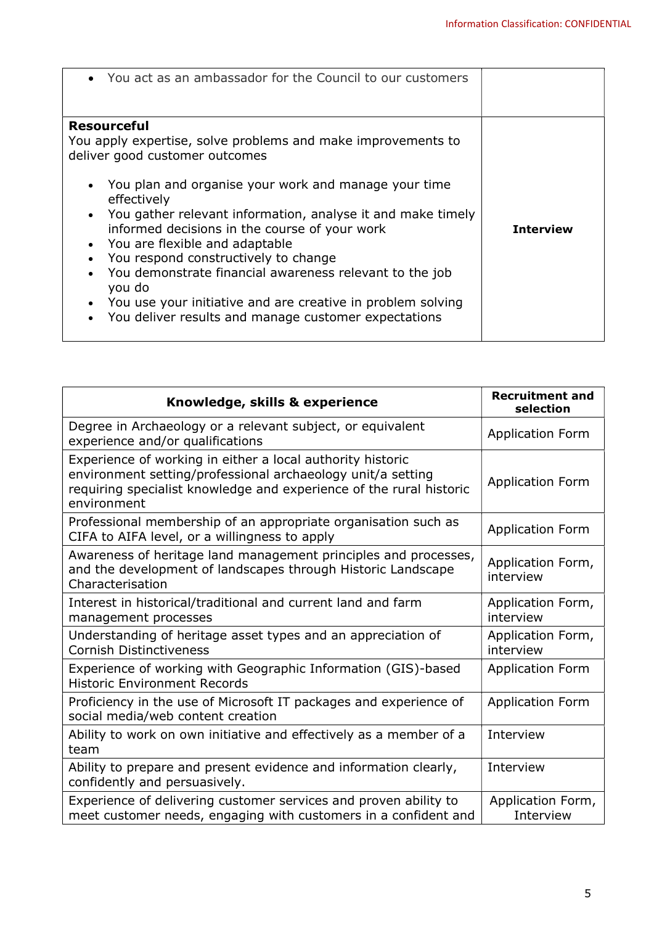| • You act as an ambassador for the Council to our customers                                                                                                                                                                                                                                                                                                                                                                                                                                                                                                                       |                  |
|-----------------------------------------------------------------------------------------------------------------------------------------------------------------------------------------------------------------------------------------------------------------------------------------------------------------------------------------------------------------------------------------------------------------------------------------------------------------------------------------------------------------------------------------------------------------------------------|------------------|
| <b>Resourceful</b><br>You apply expertise, solve problems and make improvements to<br>deliver good customer outcomes<br>You plan and organise your work and manage your time<br>effectively<br>You gather relevant information, analyse it and make timely<br>informed decisions in the course of your work<br>You are flexible and adaptable<br>You respond constructively to change<br>You demonstrate financial awareness relevant to the job<br>you do<br>You use your initiative and are creative in problem solving<br>You deliver results and manage customer expectations | <b>Interview</b> |

| Knowledge, skills & experience                                                                                                                                                                                  | <b>Recruitment and</b><br>selection |
|-----------------------------------------------------------------------------------------------------------------------------------------------------------------------------------------------------------------|-------------------------------------|
| Degree in Archaeology or a relevant subject, or equivalent<br>experience and/or qualifications                                                                                                                  | <b>Application Form</b>             |
| Experience of working in either a local authority historic<br>environment setting/professional archaeology unit/a setting<br>requiring specialist knowledge and experience of the rural historic<br>environment | <b>Application Form</b>             |
| Professional membership of an appropriate organisation such as<br>CIFA to AIFA level, or a willingness to apply                                                                                                 | <b>Application Form</b>             |
| Awareness of heritage land management principles and processes,<br>and the development of landscapes through Historic Landscape<br>Characterisation                                                             | Application Form,<br>interview      |
| Interest in historical/traditional and current land and farm<br>management processes                                                                                                                            | Application Form,<br>interview      |
| Understanding of heritage asset types and an appreciation of<br><b>Cornish Distinctiveness</b>                                                                                                                  | Application Form,<br>interview      |
| Experience of working with Geographic Information (GIS)-based<br><b>Historic Environment Records</b>                                                                                                            | <b>Application Form</b>             |
| Proficiency in the use of Microsoft IT packages and experience of<br>social media/web content creation                                                                                                          | <b>Application Form</b>             |
| Ability to work on own initiative and effectively as a member of a<br>team                                                                                                                                      | Interview                           |
| Ability to prepare and present evidence and information clearly,<br>confidently and persuasively.                                                                                                               | Interview                           |
| Experience of delivering customer services and proven ability to<br>meet customer needs, engaging with customers in a confident and                                                                             | Application Form,<br>Interview      |